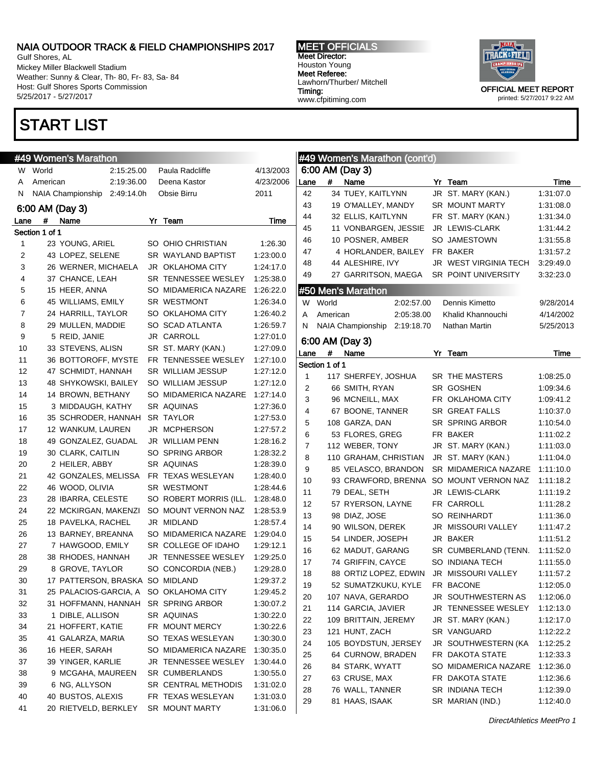Gulf Shores, AL Mickey Miller Blackwell Stadium Weather: Sunny & Clear, Th- 80, Fr- 83, Sa- 84 Host: Gulf Shores Sports Commission 5/25/2017 - 5/27/2017

## START LIST

#### #49 Women's Marathon W World 2:15:25.00 Paula Radcliffe 4/13/200 A American 2:19:36.00 Deena Kastor 4/23/200 N NAIA Championship 2:49:14.0h Obsie Birru 2011 6:00 AM (Day 3) Lane # Name Yr Team Time Section 1 of 1 1 23 YOUNG, ARIEL SO OHIO CHRISTIAN 1:26.30 2 43 LOPEZ, SELENE SR WAYLAND BAPTIST 1:23:00.0 3 26 WERNER, MICHAELA JR OKLAHOMA CITY 1:24:17. 4 37 CHANCE, LEAH SR TENNESSEE WESLEY 1:25:38.0 5 15 HEER, ANNA SO MIDAMERICA NAZARE 1:26:22.0 6 45 WILLIAMS, EMILY SR WESTMONT 1:26:34.0 7 24 HARRILL, TAYLOR SO OKLAHOMA CITY 1:26:40.2 8 29 MULLEN, MADDIE SO SCAD ATLANTA 1:26:59.7 9 5 REID, JANIE JR CARROLL 1:27:01.0 10 33 STEVENS, ALISN SR ST. MARY (KAN.) 1:27:09.0 11 36 BOTTOROFF, MYSTE FR TENNESSEE WESLEY 1:27:10.0 12 47 SCHMIDT, HANNAH SR WILLIAM JESSUP 1:27:12.0 13 48 SHYKOWSKI, BAILEY SO WILLIAM JESSUP 1:27:12.0 14 14 BROWN, BETHANY SO MIDAMERICA NAZARE 1:27:14.0 15 3 MIDDAUGH, KATHY SR AQUINAS 1:27:36.0 16 35 SCHRODER, HANNAH SR TAYLOR 1:27:53.0 17 12 WANKUM, LAUREN JR MCPHERSON 1:27:57.2 18 49 GONZALEZ, GUADAL JR WILLIAM PENN 1:28:16.2 19 30 CLARK, CAITLIN SO SPRING ARBOR 1:28:32.2

41 20 RIETVELD, BERKLEY SR MOUNT MARTY 1:31:06.0

Meet Director: Houston Young Meet Referee: Lawhorn/Thurber/ Mitchell Timing: www.cfpitiming.com

MEET OFFICIALS



printed: 5/27/2017 9:22 AM

|              |                | #49 Women's Marathon            |            |                                     |           |                |                     | #49 Women's Marathon (cont'd)     |            |                                         |                        |
|--------------|----------------|---------------------------------|------------|-------------------------------------|-----------|----------------|---------------------|-----------------------------------|------------|-----------------------------------------|------------------------|
|              | W World        |                                 | 2:15:25.00 | Paula Radcliffe                     | 4/13/2003 |                |                     | 6:00 AM (Day 3)                   |            |                                         |                        |
| A            | American       |                                 | 2:19:36.00 | Deena Kastor                        | 4/23/2006 | Lane           | #                   | Name                              |            | Yr Team                                 | Time                   |
|              |                | N NAIA Championship             | 2:49:14.0h | Obsie Birru                         | 2011      | 42             |                     | 34 TUEY, KAITLYNN                 |            | JR ST. MARY (KAN.)                      | 1:31:07.0              |
|              |                | 6:00 AM (Day 3)                 |            |                                     |           | 43             |                     | 19 O'MALLEY, MANDY                |            | SR MOUNT MARTY                          | 1:31:08.0              |
| .ane         | #              | Name                            |            | Yr Team                             | Time      | 44             |                     | 32 ELLIS, KAITLYNN                |            | FR ST. MARY (KAN.)                      | 1:31:34.0              |
|              | Section 1 of 1 |                                 |            |                                     |           | 45             |                     | 11 VONBARGEN, JESSIE              |            | JR LEWIS-CLARK                          | 1:31:44.2              |
| $\mathbf{1}$ |                | 23 YOUNG, ARIEL                 |            | SO OHIO CHRISTIAN                   | 1:26.30   | 46             |                     | 10 POSNER, AMBER                  |            | SO JAMESTOWN                            | 1:31:55.8              |
| 2            |                | 43 LOPEZ, SELENE                |            | SR WAYLAND BAPTIST                  | 1:23:00.0 | 47             |                     | 4 HORLANDER, BAILEY               |            | FR BAKER                                | 1:31:57.2              |
| 3            |                | 26 WERNER, MICHAELA             |            | <b>JR OKLAHOMA CITY</b>             | 1:24:17.0 | 48             |                     | 44 ALESHIRE, IVY                  |            | JR WEST VIRGINIA TECH                   | 3:29:49.0              |
| 4            |                | 37 CHANCE, LEAH                 |            | SR TENNESSEE WESLEY                 | 1:25:38.0 | 49             |                     | 27 GARRITSON, MAEGA               |            | SR POINT UNIVERSITY                     | 3:32:23.0              |
| 5            |                | 15 HEER, ANNA                   |            | SO MIDAMERICA NAZARE                | 1:26:22.0 |                |                     | #50 Men's Marathon                |            |                                         |                        |
| 6            |                | 45 WILLIAMS, EMILY              |            | SR WESTMONT                         | 1:26:34.0 |                | W World             |                                   | 2:02:57.00 | Dennis Kimetto                          | 9/28/2014              |
| 7            |                | 24 HARRILL, TAYLOR              |            | SO OKLAHOMA CITY                    | 1:26:40.2 | A              | American            |                                   | 2:05:38.00 | Khalid Khannouchi                       | 4/14/2002              |
| 8            |                | 29 MULLEN, MADDIE               |            | SO SCAD ATLANTA                     | 1:26:59.7 | N              |                     | <b>NAIA Championship</b>          | 2:19:18.70 | Nathan Martin                           | 5/25/2013              |
| 9            |                | 5 REID, JANIE                   |            | JR CARROLL                          | 1:27:01.0 |                |                     |                                   |            |                                         |                        |
| 10           |                | 33 STEVENS, ALISN               |            | SR ST. MARY (KAN.)                  | 1:27:09.0 |                |                     | 6:00 AM (Day 3)                   |            |                                         |                        |
| 11           |                | 36 BOTTOROFF, MYSTE             |            | FR TENNESSEE WESLEY                 | 1:27:10.0 | Lane           | #<br>Section 1 of 1 | Name                              |            | Yr Team                                 | Time                   |
| 12           |                | 47 SCHMIDT, HANNAH              |            | SR WILLIAM JESSUP                   | 1:27:12.0 | 1              |                     |                                   |            | SR THE MASTERS                          |                        |
| 13           |                | 48 SHYKOWSKI, BAILEY            |            | SO WILLIAM JESSUP                   | 1:27:12.0 | $\overline{2}$ |                     | 117 SHERFEY, JOSHUA               |            | SR GOSHEN                               | 1:08:25.0              |
| 14           |                | 14 BROWN, BETHANY               |            | SO MIDAMERICA NAZARE                | 1:27:14.0 | 3              |                     | 66 SMITH, RYAN<br>96 MCNEILL, MAX |            | FR OKLAHOMA CITY                        | 1:09:34.6              |
| 15           |                | 3 MIDDAUGH, KATHY               |            | SR AQUINAS                          | 1:27:36.0 | 4              |                     | 67 BOONE, TANNER                  |            | SR GREAT FALLS                          | 1:09:41.2<br>1:10:37.0 |
| 16           |                | 35 SCHRODER, HANNAH SR TAYLOR   |            |                                     | 1:27:53.0 | 5              |                     | 108 GARZA, DAN                    |            | SR SPRING ARBOR                         | 1:10:54.0              |
| 17           |                | 12 WANKUM, LAUREN               |            | JR MCPHERSON                        | 1:27:57.2 | 6              |                     | 53 FLORES, GREG                   |            | FR BAKER                                | 1:11:02.2              |
| 18           |                | 49 GONZALEZ, GUADAL             |            | JR WILLIAM PENN                     | 1:28:16.2 | $\overline{7}$ |                     | 112 WEBER, TONY                   |            | JR ST. MARY (KAN.)                      | 1:11:03.0              |
| 19           |                | 30 CLARK, CAITLIN               |            | SO SPRING ARBOR                     | 1:28:32.2 | 8              |                     | 110 GRAHAM, CHRISTIAN             |            | JR ST. MARY (KAN.)                      | 1:11:04.0              |
| 20           |                | 2 HEILER, ABBY                  |            | SR AQUINAS                          | 1:28:39.0 | 9              |                     | 85 VELASCO, BRANDON               |            | SR MIDAMERICA NAZARE                    | 1:11:10.0              |
| 21           |                | 42 GONZALES, MELISSA            |            | FR TEXAS WESLEYAN                   | 1:28:40.0 | 10             |                     |                                   |            | 93 CRAWFORD, BRENNA SO MOUNT VERNON NAZ | 1:11:18.2              |
| 22           |                | 46 WOOD, OLIVIA                 |            | SR WESTMONT                         | 1:28:44.6 | 11             |                     | 79 DEAL, SETH                     |            | JR LEWIS-CLARK                          | 1:11:19.2              |
| 23           |                | 28 IBARRA, CELESTE              |            | SO ROBERT MORRIS (ILL.              | 1:28:48.0 | 12             |                     | 57 RYERSON, LAYNE                 |            | FR CARROLL                              | 1:11:28.2              |
| 24           |                | 22 MCKIRGAN, MAKENZI            |            | SO MOUNT VERNON NAZ                 | 1:28:53.9 | 13             |                     | 98 DIAZ, JOSE                     |            | SO REINHARDT                            | 1:11:36.0              |
| 25           |                | 18 PAVELKA, RACHEL              |            | JR MIDLAND                          | 1:28:57.4 | 14             |                     | 90 WILSON, DEREK                  |            | JR MISSOURI VALLEY                      | 1:11:47.2              |
| 26           |                | 13 BARNEY, BREANNA              |            | SO MIDAMERICA NAZARE                | 1:29:04.0 | 15             |                     | 54 LINDER, JOSEPH                 |            | JR BAKER                                | 1:11:51.2              |
| 27           |                | 7 HAWGOOD, EMILY                |            | SR COLLEGE OF IDAHO                 | 1:29:12.1 | 16             |                     | 62 MADUT, GARANG                  |            | SR CUMBERLAND (TENN.                    | 1:11:52.0              |
| 28           |                | 38 RHODES, HANNAH               |            | JR TENNESSEE WESLEY                 | 1:29:25.0 | 17             |                     | 74 GRIFFIN, CAYCE                 |            | SO INDIANA TECH                         | 1:11:55.0              |
| 29           |                | 8 GROVE, TAYLOR                 |            | SO CONCORDIA (NEB.)                 | 1:29:28.0 | 18             |                     | 88 ORTIZ LOPEZ, EDWIN             |            | JR MISSOURI VALLEY                      | 1:11:57.2              |
| 30           |                | 17 PATTERSON, BRASKA SO MIDLAND |            |                                     | 1:29:37.2 | 19             |                     | 52 SUMATZKUKU, KYLE               |            | FR BACONE                               | 1:12:05.0              |
| 31           |                | 25 PALACIOS-GARCIA, A           |            | SO OKLAHOMA CITY                    | 1:29:45.2 | 20             |                     | 107 NAVA, GERARDO                 |            | JR SOUTHWESTERN AS                      | 1:12:06.0              |
| 32           |                |                                 |            | 31 HOFFMANN, HANNAH SR SPRING ARBOR | 1:30:07.2 | 21             |                     | 114 GARCIA, JAVIER                |            | JR TENNESSEE WESLEY                     | 1:12:13.0              |
| 33           |                | 1 DIBLE, ALLISON                |            | SR AQUINAS                          | 1:30:22.0 | 22             |                     | 109 BRITTAIN, JEREMY              |            | JR ST. MARY (KAN.)                      | 1:12:17.0              |
| 34           |                | 21 HOFFERT, KATIE               |            | FR MOUNT MERCY                      | 1:30:22.6 | 23             |                     | 121 HUNT, ZACH                    |            | SR VANGUARD                             | 1:12:22.2              |
| 35           |                | 41 GALARZA, MARIA               |            | SO TEXAS WESLEYAN                   | 1:30:30.0 | 24             |                     | 105 BOYDSTUN, JERSEY              |            | JR SOUTHWESTERN (KA                     | 1:12:25.2              |
| 36           |                | 16 HEER, SARAH                  |            | SO MIDAMERICA NAZARE                | 1:30:35.0 | 25             |                     | 64 CURNOW, BRADEN                 |            | FR DAKOTA STATE                         | 1:12:33.3              |
| 37           |                | 39 YINGER, KARLIE               |            | JR TENNESSEE WESLEY                 | 1:30:44.0 | 26             |                     | 84 STARK, WYATT                   |            | SO MIDAMERICA NAZARE                    | 1:12:36.0              |
| 38           |                | 9 MCGAHA, MAUREEN               |            | SR CUMBERLANDS                      | 1:30:55.0 | 27             |                     | 63 CRUSE, MAX                     |            | FR DAKOTA STATE                         | 1:12:36.6              |
| 39           |                | 6 NG, ALLYSON                   |            | SR CENTRAL METHODIS                 | 1:31:02.0 | 28             |                     | 76 WALL, TANNER                   |            | SR INDIANA TECH                         | 1:12:39.0              |
| 40           |                | 40 BUSTOS, ALEXIS               |            | FR TEXAS WESLEYAN                   | 1:31:03.0 |                |                     |                                   |            |                                         |                        |

29 81 HAAS, ISAAK SR MARIAN (IND.) 1:12:40.0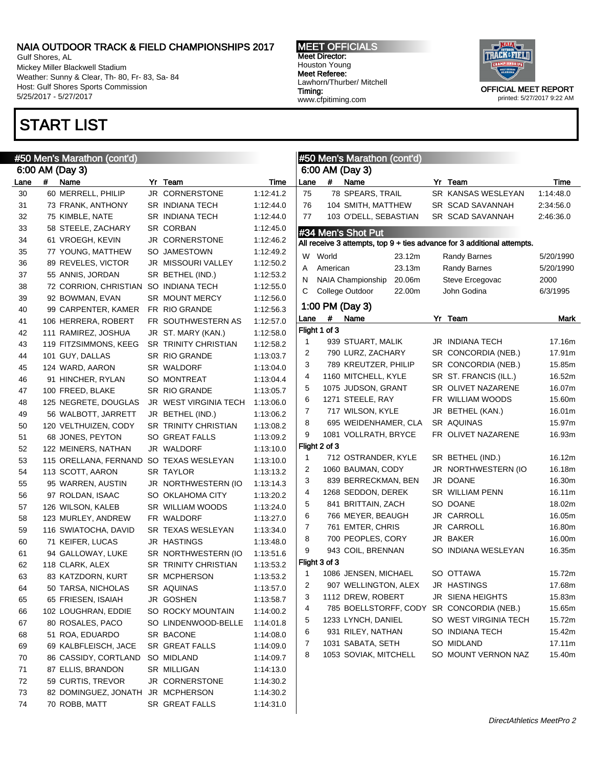Gulf Shores, AL Mickey Miller Blackwell Stadium Weather: Sunny & Clear, Th- 80, Fr- 83, Sa- 84 Host: Gulf Shores Sports Commission 5/25/2017 - 5/27/2017

# START LIST

MEET OFFICIALS Meet Director: Houston Young Meet Referee: Lawhorn/Thurber/ Mitchell Timing: www.cfpitiming.com



|      | #50 Men's Marathon (cont'd) |                       |  |                             |           |              | #50 Men's Marathon (cont'd) |                                           |  |                                                                         |           |  |
|------|-----------------------------|-----------------------|--|-----------------------------|-----------|--------------|-----------------------------|-------------------------------------------|--|-------------------------------------------------------------------------|-----------|--|
|      |                             | 6:00 AM (Day 3)       |  |                             |           |              |                             | 6:00 AM (Day 3)                           |  |                                                                         |           |  |
| Lane | #                           | Name                  |  | Yr Team                     | Time      | Lane         | #                           | Name                                      |  | Yr Team                                                                 | Time      |  |
| 30   |                             | 60 MERRELL, PHILIP    |  | JR CORNERSTONE              | 1:12:41.2 | 75           |                             | 78 SPEARS, TRAIL                          |  | SR KANSAS WESLEYAN                                                      | 1:14:48.0 |  |
| 31   |                             | 73 FRANK, ANTHONY     |  | <b>SR INDIANA TECH</b>      | 1:12:44.0 | 76           |                             | 104 SMITH, MATTHEW                        |  | SR SCAD SAVANNAH                                                        | 2:34:56.0 |  |
| 32   |                             | 75 KIMBLE, NATE       |  | <b>SR INDIANA TECH</b>      | 1:12:44.0 | 77           |                             | 103 O'DELL, SEBASTIAN                     |  | SR SCAD SAVANNAH                                                        | 2:46:36.0 |  |
| 33   |                             | 58 STEELE, ZACHARY    |  | <b>SR CORBAN</b>            | 1:12:45.0 |              |                             | #34 Men's Shot Put                        |  |                                                                         |           |  |
| 34   |                             | 61 VROEGH, KEVIN      |  | JR CORNERSTONE              | 1:12:46.2 |              |                             |                                           |  | All receive 3 attempts, top 9 + ties advance for 3 additional attempts. |           |  |
| 35   |                             | 77 YOUNG, MATTHEW     |  | SO JAMESTOWN                | 1:12:49.2 | W            | World                       | 23.12m                                    |  | <b>Randy Barnes</b>                                                     | 5/20/1990 |  |
| 36   |                             | 89 REVELES, VICTOR    |  | JR MISSOURI VALLEY          | 1:12:50.2 | Α            | American                    | 23.13m                                    |  | <b>Randy Barnes</b>                                                     | 5/20/1990 |  |
| 37   |                             | 55 ANNIS, JORDAN      |  | SR BETHEL (IND.)            | 1:12:53.2 | N            |                             | 20.06m<br>NAIA Championship               |  | Steve Ercegovac                                                         | 2000      |  |
| 38   |                             | 72 CORRION, CHRISTIAN |  | SO INDIANA TECH             | 1:12:55.0 | С            |                             | College Outdoor<br>22.00m                 |  | John Godina                                                             | 6/3/1995  |  |
| 39   |                             | 92 BOWMAN, EVAN       |  | SR MOUNT MERCY              | 1:12:56.0 |              |                             |                                           |  |                                                                         |           |  |
| 40   |                             | 99 CARPENTER, KAMER   |  | FR RIO GRANDE               | 1:12:56.3 |              |                             | 1:00 PM (Day 3)                           |  |                                                                         |           |  |
| 41   |                             | 106 HERRERA, ROBERT   |  | FR SOUTHWESTERN AS          | 1:12:57.0 | Lane         | #                           | Name                                      |  | Yr Team                                                                 | Mark      |  |
| 42   |                             | 111 RAMIREZ, JOSHUA   |  | JR ST. MARY (KAN.)          | 1:12:58.0 |              | Flight 1 of 3               |                                           |  |                                                                         |           |  |
| 43   |                             | 119 FITZSIMMONS, KEEG |  | <b>SR TRINITY CHRISTIAN</b> | 1:12:58.2 | $\mathbf{1}$ |                             | 939 STUART, MALIK                         |  | JR INDIANA TECH                                                         | 17.16m    |  |
| 44   |                             | 101 GUY, DALLAS       |  | SR RIO GRANDE               | 1:13:03.7 | 2            |                             | 790 LURZ, ZACHARY                         |  | SR CONCORDIA (NEB.)                                                     | 17.91m    |  |
| 45   |                             | 124 WARD, AARON       |  | SR WALDORF                  | 1:13:04.0 | 3            |                             | 789 KREUTZER, PHILIP                      |  | SR CONCORDIA (NEB.)                                                     | 15.85m    |  |
| 46   |                             | 91 HINCHER, RYLAN     |  | SO MONTREAT                 | 1:13:04.4 | 4            |                             | 1160 MITCHELL, KYLE                       |  | SR ST. FRANCIS (ILL.)                                                   | 16.52m    |  |
| 47   |                             | 100 FREED, BLAKE      |  | SR RIO GRANDE               | 1:13:05.7 | 5            |                             | 1075 JUDSON, GRANT                        |  | SR OLIVET NAZARENE                                                      | 16.07m    |  |
| 48   |                             | 125 NEGRETE, DOUGLAS  |  | JR WEST VIRGINIA TECH       | 1:13:06.0 | 6            |                             | 1271 STEELE, RAY                          |  | FR WILLIAM WOODS                                                        | 15.60m    |  |
| 49   |                             | 56 WALBOTT, JARRETT   |  | JR BETHEL (IND.)            | 1:13:06.2 | 7            |                             | 717 WILSON, KYLE                          |  | JR BETHEL (KAN.)                                                        | 16.01m    |  |
| 50   |                             | 120 VELTHUIZEN, CODY  |  | <b>SR TRINITY CHRISTIAN</b> | 1:13:08.2 | 8            |                             | 695 WEIDENHAMER, CLA                      |  | SR AQUINAS                                                              | 15.97m    |  |
| 51   |                             | 68 JONES, PEYTON      |  | SO GREAT FALLS              | 1:13:09.2 | 9            |                             | 1081 VOLLRATH, BRYCE                      |  | FR OLIVET NAZARENE                                                      | 16.93m    |  |
| 52   |                             | 122 MEINERS, NATHAN   |  | JR WALDORF                  | 1:13:10.0 |              | Flight 2 of 3               |                                           |  |                                                                         |           |  |
| 53   |                             | 115 ORELLANA, FERNAND |  | SO TEXAS WESLEYAN           | 1:13:10.0 | $\mathbf{1}$ |                             | 712 OSTRANDER, KYLE                       |  | SR BETHEL (IND.)                                                        | 16.12m    |  |
| 54   |                             | 113 SCOTT, AARON      |  | SR TAYLOR                   | 1:13:13.2 | 2            |                             | 1060 BAUMAN, CODY                         |  | JR NORTHWESTERN (IO                                                     | 16.18m    |  |
| 55   |                             | 95 WARREN, AUSTIN     |  | JR NORTHWESTERN (IO         | 1:13:14.3 | 3            |                             | 839 BERRECKMAN, BEN                       |  | JR DOANE                                                                | 16.30m    |  |
| 56   |                             | 97 ROLDAN, ISAAC      |  | SO OKLAHOMA CITY            | 1:13:20.2 | 4            |                             | 1268 SEDDON, DEREK                        |  | SR WILLIAM PENN                                                         | 16.11m    |  |
| 57   |                             | 126 WILSON, KALEB     |  | SR WILLIAM WOODS            | 1:13:24.0 | 5            |                             | 841 BRITTAIN, ZACH                        |  | SO DOANE                                                                | 18.02m    |  |
| 58   |                             | 123 MURLEY, ANDREW    |  | FR WALDORF                  | 1:13:27.0 | 6            |                             | 766 MEYER, BEAUGH                         |  | JR CARROLL                                                              | 16.05m    |  |
| 59   |                             | 116 SWIATOCHA, DAVID  |  | SR TEXAS WESLEYAN           | 1:13:34.0 | 7            |                             | 761 EMTER, CHRIS                          |  | JR CARROLL                                                              | 16.80m    |  |
| 60   |                             | 71 KEIFER, LUCAS      |  | JR HASTINGS                 | 1:13:48.0 | 8            |                             | 700 PEOPLES, CORY                         |  | JR BAKER                                                                | 16.00m    |  |
| 61   |                             | 94 GALLOWAY, LUKE     |  | SR NORTHWESTERN (IO         | 1:13:51.6 | 9            |                             | 943 COIL, BRENNAN                         |  | SO INDIANA WESLEYAN                                                     | 16.35m    |  |
| 62   |                             | 118 CLARK, ALEX       |  | SR TRINITY CHRISTIAN        | 1:13:53.2 |              | Flight 3 of 3               |                                           |  |                                                                         |           |  |
| 63   |                             | 83 KATZDORN, KURT     |  | SR MCPHERSON                | 1:13:53.2 | 1            |                             | 1086 JENSEN, MICHAEL                      |  | SO OTTAWA                                                               | 15.72m    |  |
| 64   |                             | 50 TARSA, NICHOLAS    |  | SR AQUINAS                  | 1:13:57.0 | 2            |                             | 907 WELLINGTON, ALEX                      |  | JR HASTINGS                                                             | 17.68m    |  |
| 65   |                             | 65 FRIESEN, ISAIAH    |  | JR GOSHEN                   | 1:13:58.7 | 3            |                             | 1112 DREW, ROBERT                         |  | JR SIENA HEIGHTS                                                        | 15.83m    |  |
| 66   |                             | 102 LOUGHRAN, EDDIE   |  | SO ROCKY MOUNTAIN           | 1:14:00.2 | 4            |                             | 785 BOELLSTORFF, CODY SR CONCORDIA (NEB.) |  |                                                                         | 15.65m    |  |
| 67   |                             | 80 ROSALES, PACO      |  | SO LINDENWOOD-BELLE         | 1:14:01.8 | 5            |                             | 1233 LYNCH, DANIEL                        |  | SO WEST VIRGINIA TECH                                                   | 15.72m    |  |
| 68   |                             | 51 ROA, EDUARDO       |  | SR BACONE                   | 1:14:08.0 | 6            |                             | 931 RILEY, NATHAN                         |  | SO INDIANA TECH                                                         | 15.42m    |  |
| 69   |                             | 69 KALBFLEISCH, JACE  |  | SR GREAT FALLS              | 1:14:09.0 | 7            |                             | 1031 SABATA, SETH                         |  | SO MIDLAND                                                              | 17.11m    |  |
| 70   |                             | 86 CASSIDY, CORTLAND  |  | SO MIDLAND                  | 1:14:09.7 | 8            |                             | 1053 SOVIAK, MITCHELL                     |  | SO MOUNT VERNON NAZ                                                     | 15.40m    |  |
| 71   |                             | 87 ELLIS, BRANDON     |  | SR MILLIGAN                 | 1:14:13.0 |              |                             |                                           |  |                                                                         |           |  |
| 72   |                             | 59 CURTIS, TREVOR     |  | JR CORNERSTONE              | 1:14:30.2 |              |                             |                                           |  |                                                                         |           |  |
| 73   |                             | 82 DOMINGUEZ, JONATH  |  | JR MCPHERSON                | 1:14:30.2 |              |                             |                                           |  |                                                                         |           |  |
| 74   |                             | 70 ROBB, MATT         |  | SR GREAT FALLS              | 1:14:31.0 |              |                             |                                           |  |                                                                         |           |  |
|      |                             |                       |  |                             |           |              |                             |                                           |  |                                                                         |           |  |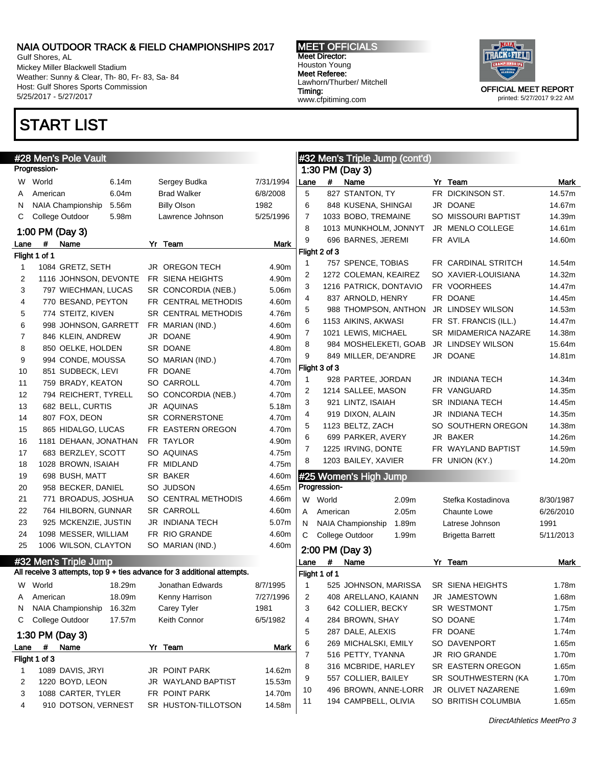Gulf Shores, AL Mickey Miller Blackwell Stadium Weather: Sunny & Clear, Th- 80, Fr- 83, Sa- 84 Host: Gulf Shores Sports Commission 5/25/2017 - 5/27/2017

## START LIST

MEET OFFICIALS Meet Director: Houston Young Meet Referee: Lawhorn/Thurber/ Mitchell Timing: www.cfpitiming.com



|      | #28 Men's Pole Vault                                                                             |        |                       |           |              |               | #32 Men's Triple Jump (cont'd) |       |                          |           |
|------|--------------------------------------------------------------------------------------------------|--------|-----------------------|-----------|--------------|---------------|--------------------------------|-------|--------------------------|-----------|
|      | Progression-                                                                                     |        |                       |           |              |               | 1:30 PM (Day 3)                |       |                          |           |
| W.   | World                                                                                            | 6.14m  | Sergey Budka          | 7/31/1994 | Lane         | #             | Name                           |       | Yr Team                  | Mark      |
| A    | American                                                                                         | 6.04m  | <b>Brad Walker</b>    | 6/8/2008  | 5            |               | 827 STANTON, TY                |       | FR DICKINSON ST.         | 14.57m    |
| N    | NAIA Championship                                                                                | 5.56m  | <b>Billy Olson</b>    | 1982      | 6            |               | 848 KUSENA, SHINGAI            |       | JR DOANE                 | 14.67m    |
| C    | College Outdoor                                                                                  | 5.98m  | Lawrence Johnson      | 5/25/1996 | 7            |               | 1033 BOBO, TREMAINE            |       | SO MISSOURI BAPTIST      | 14.39m    |
|      | 1:00 PM (Day 3)                                                                                  |        |                       |           | 8            |               | 1013 MUNKHOLM, JONNYT          |       | JR MENLO COLLEGE         | 14.61m    |
| Lane | #<br>Name                                                                                        |        | Yr Team               | Mark      | 9            |               | 696 BARNES, JEREMI             |       | FR AVILA                 | 14.60m    |
|      | Flight 1 of 1                                                                                    |        |                       |           |              | Flight 2 of 3 |                                |       |                          |           |
| 1    | 1084 GRETZ, SETH                                                                                 |        | <b>JR OREGON TECH</b> | 4.90m     | $\mathbf{1}$ |               | 757 SPENCE, TOBIAS             |       | FR CARDINAL STRITCH      | 14.54m    |
| 2    | 1116 JOHNSON, DEVONTE                                                                            |        | FR SIENA HEIGHTS      | 4.90m     | 2            |               | 1272 COLEMAN, KEAIREZ          |       | SO XAVIER-LOUISIANA      | 14.32m    |
| 3    | 797 WIECHMAN, LUCAS                                                                              |        | SR CONCORDIA (NEB.)   | 5.06m     | 3            |               | 1216 PATRICK, DONTAVIO         |       | FR VOORHEES              | 14.47m    |
| 4    | 770 BESAND, PEYTON                                                                               |        | FR CENTRAL METHODIS   | 4.60m     | 4            |               | 837 ARNOLD, HENRY              |       | FR DOANE                 | 14.45m    |
| 5    | 774 STEITZ, KIVEN                                                                                |        | SR CENTRAL METHODIS   | 4.76m     | 5            |               | 988 THOMPSON, ANTHON           |       | JR LINDSEY WILSON        | 14.53m    |
| 6    | 998 JOHNSON, GARRETT                                                                             |        | FR MARIAN (IND.)      | 4.60m     | 6            |               | 1153 AIKINS, AKWASI            |       | FR ST. FRANCIS (ILL.)    | 14.47m    |
| 7    | 846 KLEIN, ANDREW                                                                                |        | JR DOANE              | 4.90m     | 7            |               | 1021 LEWIS, MICHAEL            |       | SR MIDAMERICA NAZARE     | 14.38m    |
| 8    | 850 OELKE, HOLDEN                                                                                |        | SR DOANE              | 4.80m     | 8            |               | 984 MOSHELEKETI, GOAB          |       | <b>JR LINDSEY WILSON</b> | 15.64m    |
| 9    | 994 CONDE, MOUSSA                                                                                |        | SO MARIAN (IND.)      | 4.70m     | 9            |               | 849 MILLER, DE'ANDRE           |       | JR DOANE                 | 14.81m    |
| 10   | 851 SUDBECK, LEVI                                                                                |        | FR DOANE              | 4.70m     |              | Flight 3 of 3 |                                |       |                          |           |
| 11   | 759 BRADY, KEATON                                                                                |        | SO CARROLL            | 4.70m     | $\mathbf{1}$ |               | 928 PARTEE, JORDAN             |       | JR INDIANA TECH          | 14.34m    |
| 12   | 794 REICHERT, TYRELL                                                                             |        | SO CONCORDIA (NEB.)   | 4.70m     | 2            |               | 1214 SALLEE, MASON             |       | FR VANGUARD              | 14.35m    |
| 13   | 682 BELL, CURTIS                                                                                 |        | JR AQUINAS            | 5.18m     | 3            |               | 921 LINTZ, ISAIAH              |       | SR INDIANA TECH          | 14.45m    |
| 14   | 807 FOX, DEON                                                                                    |        | SR CORNERSTONE        | 4.70m     | 4            |               | 919 DIXON, ALAIN               |       | JR INDIANA TECH          | 14.35m    |
| 15   | 865 HIDALGO, LUCAS                                                                               |        | FR EASTERN OREGON     | 4.70m     | 5            |               | 1123 BELTZ, ZACH               |       | SO SOUTHERN OREGON       | 14.38m    |
| 16   | 1181 DEHAAN, JONATHAN                                                                            |        | FR TAYLOR             | 4.90m     | 6            |               | 699 PARKER, AVERY              |       | JR BAKER                 | 14.26m    |
| 17   | 683 BERZLEY, SCOTT                                                                               |        | SO AQUINAS            | 4.75m     | 7            |               | 1225 IRVING, DONTE             |       | FR WAYLAND BAPTIST       | 14.59m    |
| 18   | 1028 BROWN, ISAIAH                                                                               |        | FR MIDLAND            | 4.75m     | 8            |               | 1203 BAILEY, XAVIER            |       | FR UNION (KY.)           | 14.20m    |
| 19   | 698 BUSH, MATT                                                                                   |        | SR BAKER              | 4.60m     |              |               | #25 Women's High Jump          |       |                          |           |
| 20   | 958 BECKER, DANIEL                                                                               |        | SO JUDSON             | 4.65m     |              | Progression-  |                                |       |                          |           |
| 21   | 771 BROADUS, JOSHUA                                                                              |        | SO CENTRAL METHODIS   | 4.66m     |              | W World       |                                | 2.09m | Stefka Kostadinova       | 8/30/1987 |
| 22   | 764 HILBORN, GUNNAR                                                                              |        | SR CARROLL            | 4.60m     | A            | American      |                                | 2.05m | <b>Chaunte Lowe</b>      | 6/26/2010 |
| 23   | 925 MCKENZIE, JUSTIN                                                                             |        | JR INDIANA TECH       | 5.07m     | N            |               | NAIA Championship              | 1.89m | Latrese Johnson          | 1991      |
| 24   | 1098 MESSER, WILLIAM                                                                             |        | FR RIO GRANDE         | 4.60m     | C            |               | College Outdoor                | 1.99m | <b>Brigetta Barrett</b>  | 5/11/2013 |
| 25   | 1006 WILSON, CLAYTON                                                                             |        | SO MARIAN (IND.)      | 4.60m     |              |               |                                |       |                          |           |
|      |                                                                                                  |        |                       |           |              |               | 2:00 PM (Day 3)                |       |                          |           |
|      | #32 Men's Triple Jump<br>All receive 3 attempts, top 9 + ties advance for 3 additional attempts. |        |                       |           | Lane         | #             | Name                           |       | Yr Team                  | Mark      |
|      |                                                                                                  |        |                       |           |              | Flight 1 of 1 |                                |       |                          |           |
|      | W World                                                                                          | 18.29m | Jonathan Edwards      | 8/7/1995  | 1            |               | 525 JOHNSON, MARISSA           |       | SR SIENA HEIGHTS         | 1.78m     |
| A    | American                                                                                         | 18.09m | Kenny Harrison        | 7/27/1996 | 2            |               | 408 ARELLANO, KAIANN           |       | JR JAMESTOWN             | 1.68m     |
| N    | NAIA Championship                                                                                | 16.32m | Carey Tyler           | 1981      | 3            |               | 642 COLLIER, BECKY             |       | SR WESTMONT              | 1.75m     |
| C    | College Outdoor                                                                                  | 17.57m | Keith Connor          | 6/5/1982  | 4            |               | 284 BROWN, SHAY                |       | SO DOANE                 | 1.74m     |
|      | 1:30 PM (Day 3)                                                                                  |        |                       |           | 5            |               | 287 DALE, ALEXIS               |       | FR DOANE                 | 1.74m     |
| Lane | #<br>Name                                                                                        |        | Yr Team               | Mark      | 6            |               | 269 MICHALSKI, EMILY           |       | SO DAVENPORT             | 1.65m     |
|      | Flight 1 of 3                                                                                    |        |                       |           | 7            |               | 516 PETTY, TYANNA              |       | JR RIO GRANDE            | 1.70m     |
| 1    | 1089 DAVIS, JRYI                                                                                 |        | <b>JR POINT PARK</b>  | 14.62m    | 8            |               | 316 MCBRIDE, HARLEY            |       | SR EASTERN OREGON        | 1.65m     |
| 2    | 1220 BOYD, LEON                                                                                  |        | JR WAYLAND BAPTIST    | 15.53m    | 9            |               | 557 COLLIER, BAILEY            |       | SR SOUTHWESTERN (KA      | 1.70m     |
| 3    | 1088 CARTER, TYLER                                                                               |        | FR POINT PARK         | 14.70m    | 10           |               | 496 BROWN, ANNE-LORR           |       | JR OLIVET NAZARENE       | 1.69m     |
| 4    | 910 DOTSON, VERNEST                                                                              |        | SR HUSTON-TILLOTSON   | 14.58m    | 11           |               | 194 CAMPBELL, OLIVIA           |       | SO BRITISH COLUMBIA      | 1.65m     |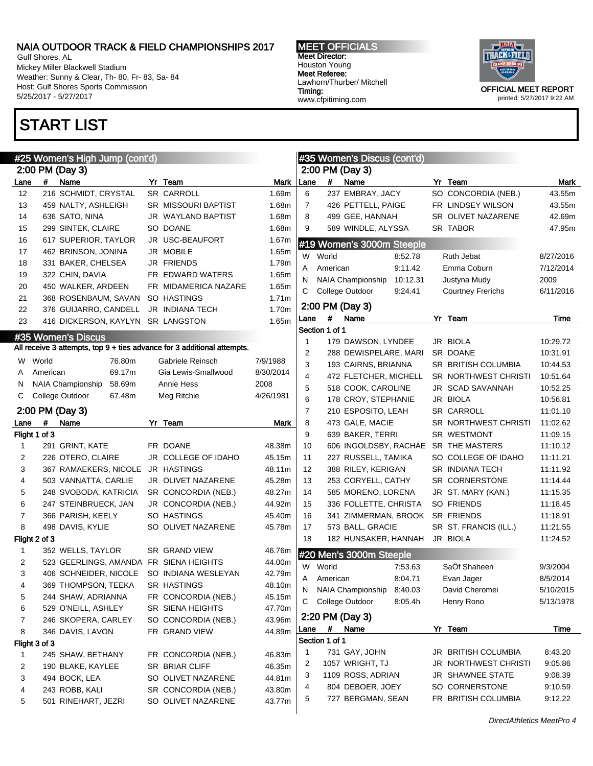Gulf Shores, AL Mickey Miller Blackwell Stadium Weather: Sunny & Clear, Th- 80, Fr- 83, Sa- 84 Host: Gulf Shores Sports Commission 5/25/2017 - 5/27/2017

# START LIST

#### MEET OFFICIALS Meet Director: Houston Young Meet Referee: Lawhorn/Thurber/ Mitchell Timing: www.cfpitiming.com



|      |               | #25 Women's High Jump (cont'd)    |                                                                         |           |      |                | #35 Women's Discus (cont'd)          |                             |           |
|------|---------------|-----------------------------------|-------------------------------------------------------------------------|-----------|------|----------------|--------------------------------------|-----------------------------|-----------|
|      |               | 2:00 PM (Day 3)                   |                                                                         |           |      |                | 2:00 PM (Day 3)                      |                             |           |
| Lane | #             | Name                              | Yr Team                                                                 | Mark      | Lane | #              | Name                                 | Yr Team                     | Mark      |
| 12   |               | 216 SCHMIDT, CRYSTAL              | SR CARROLL                                                              | 1.69m     | 6    |                | 237 EMBRAY, JACY                     | SO CONCORDIA (NEB.)         | 43.55m    |
| 13   |               | 459 NALTY, ASHLEIGH               | SR MISSOURI BAPTIST                                                     | 1.68m     | 7    |                | 426 PETTELL, PAIGE                   | FR LINDSEY WILSON           | 43.55m    |
| 14   |               | 636 SATO, NINA                    | JR WAYLAND BAPTIST                                                      | 1.68m     | 8    |                | 499 GEE, HANNAH                      | SR OLIVET NAZARENE          | 42.69m    |
| 15   |               | 299 SINTEK, CLAIRE                | SO DOANE                                                                | 1.68m     | 9    |                | 589 WINDLE, ALYSSA                   | SR TABOR                    | 47.95m    |
| 16   |               | 617 SUPERIOR, TAYLOR              | JR USC-BEAUFORT                                                         | 1.67m     |      |                |                                      |                             |           |
| 17   |               | 462 BRINSON, JONINA               | JR MOBILE                                                               | 1.65m     |      |                | #19 Women's 3000m Steeple            |                             |           |
| 18   |               | 331 BAKER, CHELSEA                | <b>JR FRIENDS</b>                                                       | 1.79m     | W    | World          | 8:52.78                              | Ruth Jebat                  | 8/27/2016 |
| 19   |               | 322 CHIN, DAVIA                   | FR EDWARD WATERS                                                        | 1.65m     | Α    | American       | 9:11.42                              | Emma Coburn                 | 7/12/2014 |
| 20   |               | 450 WALKER, ARDEEN                | FR MIDAMERICA NAZARE                                                    | 1.65m     | N    |                | <b>NAIA Championship</b><br>10:12.31 | Justyna Mudy                | 2009      |
| 21   |               | 368 ROSENBAUM, SAVAN              | SO HASTINGS                                                             | 1.71m     | С    |                | College Outdoor<br>9:24.41           | <b>Courtney Frerichs</b>    | 6/11/2016 |
| 22   |               | 376 GUIJARRO, CANDELL             | <b>JR INDIANA TECH</b>                                                  | 1.70m     |      |                | 2:00 PM (Day 3)                      |                             |           |
| 23   |               | 416 DICKERSON, KAYLYN SR LANGSTON |                                                                         | 1.65m     | Lane | #              | Name                                 | Yr Team                     | Time      |
|      |               |                                   |                                                                         |           |      | Section 1 of 1 |                                      |                             |           |
|      |               | #35 Women's Discus                |                                                                         |           | 1    |                | 179 DAWSON, LYNDEE                   | JR BIOLA                    | 10:29.72  |
|      |               |                                   | All receive 3 attempts, top 9 + ties advance for 3 additional attempts. |           | 2    |                | 288 DEWISPELARE, MARI                | SR DOANE                    | 10:31.91  |
| W.   | World         | 76.80m                            | Gabriele Reinsch                                                        | 7/9/1988  | 3    |                | 193 CAIRNS, BRIANNA                  | SR BRITISH COLUMBIA         | 10:44.53  |
| A    | American      | 69.17m                            | Gia Lewis-Smallwood                                                     | 8/30/2014 | 4    |                | 472 FLETCHER, MICHELL                | <b>SR NORTHWEST CHRISTI</b> | 10:51.64  |
| N    |               | NAIA Championship<br>58.69m       | Annie Hess                                                              | 2008      | 5    |                | 518 COOK, CAROLINE                   | JR SCAD SAVANNAH            | 10:52.25  |
| C    |               | College Outdoor<br>67.48m         | Meg Ritchie                                                             | 4/26/1981 | 6    |                | 178 CROY, STEPHANIE                  | JR BIOLA                    | 10:56.81  |
|      |               | 2:00 PM (Day 3)                   |                                                                         |           | 7    |                | 210 ESPOSITO, LEAH                   | <b>SR CARROLL</b>           | 11:01.10  |
|      | #             |                                   | Yr Team                                                                 |           | 8    |                | 473 GALE, MACIE                      | <b>SR NORTHWEST CHRISTI</b> |           |
| Lane |               | Name                              |                                                                         | Mark      | 9    |                |                                      |                             | 11:02.62  |
|      | Flight 1 of 3 |                                   |                                                                         |           |      |                | 639 BAKER, TERRI                     | SR WESTMONT                 | 11:09.15  |
| 1    |               | 291 GRINT, KATE                   | FR DOANE                                                                | 48.38m    | 10   |                | 606 INGOLDSBY, RACHAE SR THE MASTERS |                             | 11:10.12  |
| 2    |               | 226 OTERO, CLAIRE                 | JR COLLEGE OF IDAHO                                                     | 45.15m    | 11   |                | 227 RUSSELL, TAMIKA                  | SO COLLEGE OF IDAHO         | 11:11.21  |
| 3    |               | 367 RAMAEKERS, NICOLE             | <b>JR HASTINGS</b>                                                      | 48.11m    | 12   |                | 388 RILEY, KERIGAN                   | <b>SR INDIANA TECH</b>      | 11:11.92  |
| 4    |               | 503 VANNATTA, CARLIE              | JR OLIVET NAZARENE                                                      | 45.28m    | 13   |                | 253 CORYELL, CATHY                   | SR CORNERSTONE              | 11:14.44  |
| 5    |               | 248 SVOBODA, KATRICIA             | SR CONCORDIA (NEB.)                                                     | 48.27m    | 14   |                | 585 MORENO, LORENA                   | JR ST. MARY (KAN.)          | 11:15.35  |
| 6    |               | 247 STEINBRUECK, JAN              | JR CONCORDIA (NEB.)                                                     | 44.92m    | 15   |                | 336 FOLLETTE, CHRISTA                | SO FRIENDS                  | 11:18.45  |
| 7    |               | 366 PARISH, KEELY                 | SO HASTINGS                                                             | 45.40m    | 16   |                | 341 ZIMMERMAN, BROOK                 | <b>SR FRIENDS</b>           | 11:18.91  |
| 8    |               | 498 DAVIS, KYLIE                  | SO OLIVET NAZARENE                                                      | 45.78m    | 17   |                | 573 BALL, GRACIE                     | SR ST. FRANCIS (ILL.)       | 11:21.55  |
|      | Flight 2 of 3 |                                   |                                                                         |           | 18   |                | 182 HUNSAKER, HANNAH                 | JR BIOLA                    | 11:24.52  |
| 1    |               | 352 WELLS, TAYLOR                 | <b>SR GRAND VIEW</b>                                                    | 46.76m    |      |                | #20 Men's 3000m Steeple              |                             |           |
| 2    |               | 523 GEERLINGS, AMANDA             | FR SIENA HEIGHTS                                                        | 44.00m    | W    | World          | 7:53.63                              | SaÔf Shaheen                | 9/3/2004  |
| 3    |               | 406 SCHNEIDER, NICOLE             | SO INDIANA WESLEYAN                                                     | 42.79m    | A    | American       | 8:04.71                              | Evan Jager                  | 8/5/2014  |
| 4    |               | 369 THOMPSON, TEEKA               | SR HASTINGS                                                             | 48.10m    | N    |                | NAIA Championship<br>8:40.03         | David Cheromei              | 5/10/2015 |
| 5    |               | 244 SHAW, ADRIANNA                | FR CONCORDIA (NEB.)                                                     | 45.15m    | С    |                | College Outdoor<br>8:05.4h           | Henry Rono                  | 5/13/1978 |
| 6    |               | 529 O'NEILL, ASHLEY               | SR SIENA HEIGHTS                                                        | 47.70m    |      |                |                                      |                             |           |
| 7    |               | 246 SKOPERA, CARLEY               | SO CONCORDIA (NEB.)                                                     | 43.96m    |      |                | 2:20 PM (Day 3)                      |                             |           |
| 8    |               | 346 DAVIS, LAVON                  | FR GRAND VIEW                                                           | 44.89m    | Lane | #              | Name                                 | Yr Team                     | Time      |
|      | Flight 3 of 3 |                                   |                                                                         |           |      | Section 1 of 1 |                                      |                             |           |
| 1    |               | 245 SHAW, BETHANY                 | FR CONCORDIA (NEB.)                                                     | 46.83m    | 1    |                | 731 GAY, JOHN                        | JR BRITISH COLUMBIA         | 8:43.20   |
| 2    |               | 190 BLAKE, KAYLEE                 | SR BRIAR CLIFF                                                          | 46.35m    | 2    |                | 1057 WRIGHT, TJ                      | JR NORTHWEST CHRISTI        | 9:05.86   |
| 3    |               | 494 BOCK, LEA                     | SO OLIVET NAZARENE                                                      | 44.81m    | 3    |                | 1109 ROSS, ADRIAN                    | JR SHAWNEE STATE            | 9:08.39   |
| 4    |               | 243 ROBB, KALI                    | SR CONCORDIA (NEB.)                                                     | 43.80m    | 4    |                | 804 DEBOER, JOEY                     | SO CORNERSTONE              | 9:10.59   |
| 5    |               | 501 RINEHART, JEZRI               | SO OLIVET NAZARENE                                                      | 43.77m    | 5    |                | 727 BERGMAN, SEAN                    | FR BRITISH COLUMBIA         | 9:12.22   |
|      |               |                                   |                                                                         |           |      |                |                                      |                             |           |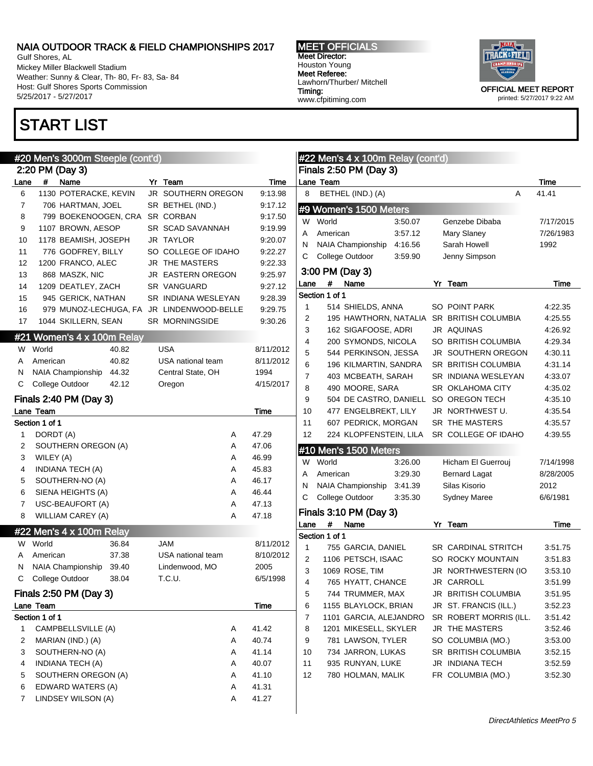Gulf Shores, AL Mickey Miller Blackwell Stadium Weather: Sunny & Clear, Th- 80, Fr- 83, Sa- 84 Host: Gulf Shores Sports Commission 5/25/2017 - 5/27/2017

# START LIST

#### MEET OFFICIALS Meet Director: Houston Young Meet Referee: Lawhorn/Thurber/ Mitchell Timing: www.cfpitiming.com



|      | #20 Men's 3000m Steeple (cont'd)    |       |                                           |             |
|------|-------------------------------------|-------|-------------------------------------------|-------------|
|      | 2:20 PM (Day 3)                     |       |                                           |             |
| Lane | #<br>Name                           |       | Yr Team                                   | <b>Time</b> |
| 6    | 1130 POTERACKE, KEVIN               |       | JR SOUTHERN OREGON                        | 9:13.98     |
| 7    | 706 HARTMAN, JOEL                   |       | SR BETHEL (IND.)                          | 9:17.12     |
| 8    | 799 BOEKENOOGEN, CRA                |       | <b>SR CORBAN</b>                          | 9:17.50     |
| 9    | 1107 BROWN, AESOP                   |       | SR SCAD SAVANNAH                          | 9:19.99     |
| 10   | 1178 BEAMISH, JOSEPH                |       | JR TAYLOR                                 | 9:20.07     |
| 11   | 776 GODFREY, BILLY                  |       | SO COLLEGE OF IDAHO                       | 9:22.27     |
| 12   | 1200 FRANCO, ALEC                   |       | <b>JR THE MASTERS</b>                     | 9:22.33     |
| 13   | 868 MASZK, NIC                      |       | JR EASTERN OREGON                         | 9:25.97     |
| 14   | 1209 DEATLEY, ZACH                  |       | SR VANGUARD                               | 9:27.12     |
| 15   | 945 GERICK, NATHAN                  |       | SR INDIANA WESLEYAN                       | 9:28.39     |
| 16   |                                     |       | 979 MUNOZ-LECHUGA, FA JR LINDENWOOD-BELLE | 9:29.75     |
| 17   | 1044 SKILLERN, SEAN                 |       | <b>SR MORNINGSIDE</b>                     | 9.30.26     |
|      | #21 Women's 4 x 100m Relay          |       |                                           |             |
|      | W World                             | 40.82 | <b>USA</b>                                | 8/11/2012   |
| A    | American                            | 40.82 | USA national team                         | 8/11/2012   |
| N    | NAIA Championship                   | 44.32 | Central State, OH                         | 1994        |
| С    | College Outdoor                     | 42.12 | Oregon                                    | 4/15/2017   |
|      |                                     |       |                                           |             |
|      | Finals 2:40 PM (Day 3)              |       |                                           |             |
|      | Lane Team                           |       |                                           | Time        |
|      | Section 1 of 1                      |       |                                           |             |
| 1    | DORDT (A)                           |       | Α                                         | 47.29       |
| 2    | SOUTHERN OREGON (A)                 |       | Α                                         | 47.06       |
| 3    | WILEY (A)                           |       | Α                                         | 46.99       |
| 4    | <b>INDIANA TECH (A)</b>             |       | Α                                         | 45.83       |
| 5    | SOUTHERN-NO (A)                     |       | Α                                         | 46.17       |
| 6    | SIENA HEIGHTS (A)                   |       | Α                                         | 46.44       |
| 7    | USC-BEAUFORT (A)                    |       | Α                                         | 47.13       |
| 8    | <b>WILLIAM CAREY (A)</b>            |       | A                                         | 47.18       |
|      | #22 Men's 4 x 100m Relay            |       |                                           |             |
|      | W World                             | 36.84 | <b>JAM</b>                                | 8/11/2012   |
| A    | American                            | 37.38 | USA national team                         | 8/10/2012   |
| N    | NAIA Championship                   | 39.40 | Lindenwood, MO                            | 2005        |
|      | College Outdoor                     | 38.04 | T.C.U.                                    | 6/5/1998    |
| С    |                                     |       |                                           |             |
|      |                                     |       |                                           |             |
|      | Finals 2:50 PM (Day 3)<br>Lane Team |       |                                           | Time        |
|      | Section 1 of 1                      |       |                                           |             |
| 1    | CAMPBELLSVILLE (A)                  |       | Α                                         | 41.42       |
| 2    | MARIAN (IND.) (A)                   |       | Α                                         | 40.74       |
| 3    | SOUTHERN-NO (A)                     |       | Α                                         | 41.14       |
| 4    | INDIANA TECH (A)                    |       | Α                                         | 40.07       |
| 5    | SOUTHERN OREGON (A)                 |       | Α                                         | 41.10       |
| 6    | EDWARD WATERS (A)                   |       | Α                                         | 41.31       |

|          | #22 Men's 4 x 100m Relay (cont'd)             |         |    |                                           |                    |
|----------|-----------------------------------------------|---------|----|-------------------------------------------|--------------------|
|          | Finals 2:50 PM (Day 3)                        |         |    |                                           |                    |
|          | Lane Team                                     |         |    |                                           | Time<br>41.41      |
| 8        | BETHEL (IND.) (A)                             |         |    | A                                         |                    |
|          | #9 Women's 1500 Meters                        |         |    |                                           |                    |
| W        | World                                         | 3:50.07 |    | Genzebe Dibaba                            | 7/17/2015          |
| А        | American                                      | 3:57.12 |    | Mary Slaney                               | 7/26/1983          |
| N        | NAIA Championship                             | 4:16.56 |    | Sarah Howell                              | 1992               |
| С        | College Outdoor                               | 3:59.90 |    | Jenny Simpson                             |                    |
|          | 3:00 PM (Day 3)                               |         |    |                                           |                    |
| Lane     | Name<br>#                                     |         | Yr | Team                                      | Time               |
|          | Section 1 of 1                                |         |    |                                           |                    |
| 1        | 514 SHIELDS, ANNA                             |         |    | <b>SO POINT PARK</b>                      | 4:22.35            |
| 2        |                                               |         |    | 195 HAWTHORN, NATALIA SR BRITISH COLUMBIA | 4:25.55            |
| 3        | 162 SIGAFOOSE, ADRI                           |         |    | JR AQUINAS                                | 4:26.92            |
| 4        | 200 SYMONDS, NICOLA                           |         |    | SO BRITISH COLUMBIA                       | 4:29.34            |
| 5        | 544 PERKINSON, JESSA                          |         |    | <b>JR SOUTHERN OREGON</b>                 | 4:30.11            |
| 6        | 196 KILMARTIN, SANDRA                         |         |    | SR BRITISH COLUMBIA                       | 4:31.14            |
| 7        | 403 MCBEATH, SARAH                            |         |    | <b>SR INDIANA WESLEYAN</b>                | 4:33.07            |
| 8        | 490 MOORE, SARA                               |         |    | <b>SR OKLAHOMA CITY</b>                   | 4:35.02            |
| 9        | 504 DE CASTRO, DANIELL                        |         |    | SO OREGON TECH                            | 4:35.10            |
| 10       | 477 ENGELBREKT, LILY                          |         |    | JR NORTHWEST U.<br>SR THE MASTERS         | 4:35.54            |
| 11<br>12 | 607 PEDRICK, MORGAN<br>224 KLOPFENSTEIN, LILA |         |    | SR COLLEGE OF IDAHO                       | 4:35.57<br>4:39.55 |
|          |                                               |         |    |                                           |                    |
|          | #10 Men's 1500 Meters                         |         |    |                                           |                    |
| W        | World                                         | 3:26.00 |    | Hicham El Guerrouj                        | 7/14/1998          |
| А        | American                                      | 3:29.30 |    | <b>Bernard Lagat</b>                      | 8/28/2005          |
| N        | NAIA Championship 3:41.39                     |         |    | Silas Kisorio                             | 2012               |
| С        | College Outdoor                               | 3:35.30 |    | <b>Sydney Maree</b>                       | 6/6/1981           |
|          | Finals 3:10 PM (Day 3)                        |         |    |                                           |                    |
| Lane     | Name<br>#                                     |         |    | Yr Team                                   | Time               |
|          | Section 1 of 1                                |         |    |                                           |                    |
| 1        | 755 GARCIA, DANIEL                            |         |    | SR CARDINAL STRITCH                       | 3:51.75            |
| 2        | 1106 PETSCH, ISAAC                            |         |    | <b>SO ROCKY MOUNTAIN</b>                  | 3:51.83            |
| 3        | 1069 ROSE, TIM                                |         | JR | <b>NORTHWESTERN (IO</b>                   | 3:53.10            |
| 4        | 765 HYATT, CHANCE                             |         |    | JR CARROLL                                | 3:51.99            |
| 5        | 744 TRUMMER, MAX                              |         |    | JR BRITISH COLUMBIA                       | 3:51.95            |
| 6        | 1155 BLAYLOCK, BRIAN                          |         |    | JR ST. FRANCIS (ILL.)                     | 3:52.23            |
| 7        | 1101 GARCIA, ALEJANDRO                        |         |    | SR ROBERT MORRIS (ILL.                    | 3:51.42            |
| 8        | 1201 MIKESELL, SKYLER                         |         | JR | THE MASTERS<br>SO COLUMBIA (MO.)          | 3:52.46            |
| 9<br>10  | 781 LAWSON, TYLER<br>734 JARRON, LUKAS        |         |    | SR BRITISH COLUMBIA                       | 3:53.00            |
| 11       | 935 RUNYAN, LUKE                              |         |    | JR INDIANA TECH                           | 3:52.15            |
| 12       | 780 HOLMAN, MALIK                             |         |    | FR COLUMBIA (MO.)                         | 3:52.59<br>3:52.30 |
|          |                                               |         |    |                                           |                    |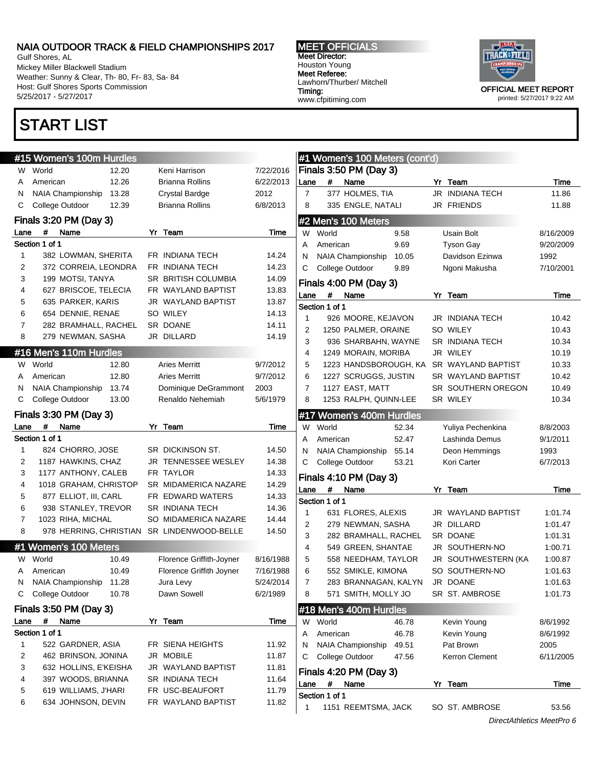Gulf Shores, AL Mickey Miller Blackwell Stadium Weather: Sunny & Clear, Th- 80, Fr- 83, Sa- 84 Host: Gulf Shores Sports Commission 5/25/2017 - 5/27/2017

# START LIST

#### MEET OFFICIALS Meet Director: Houston Young Meet Referee: Lawhorn/Thurber/ Mitchell Timing: www.cfpitiming.com



printed: 5/27/2017 9:22 AM

|                         | #15 Women's 100m Hurdles                   |       |                                            |                |                |                | #1 Women's 100 Meters (cont'd)            |       |                  |             |
|-------------------------|--------------------------------------------|-------|--------------------------------------------|----------------|----------------|----------------|-------------------------------------------|-------|------------------|-------------|
|                         | W World                                    | 12.20 | Keni Harrison                              | 7/22/2016      |                |                | Finals 3:50 PM (Day 3)                    |       |                  |             |
| A                       | American                                   | 12.26 | Brianna Rollins                            | 6/22/2013      | Lane           | #              | Name                                      |       | Yr Te            |             |
| N                       | NAIA Championship                          | 13.28 | <b>Crystal Bardge</b>                      | 2012           | $\overline{7}$ |                | 377 HOLMES, TIA                           |       | JR INI           |             |
| С                       | College Outdoor                            | 12.39 | Brianna Rollins                            | 6/8/2013       | 8              |                | 335 ENGLE, NATALI                         |       | JR FR            |             |
|                         | Finals 3:20 PM (Day 3)                     |       |                                            |                |                |                | #2 Men's 100 Meters                       |       |                  |             |
| Lane                    | #<br>Name                                  |       | Yr Team                                    | Time           | W              | World          |                                           | 9.58  |                  | Usa         |
|                         | Section 1 of 1                             |       |                                            |                | A              | American       |                                           | 9.69  |                  | <b>Tyso</b> |
| 1                       | 382 LOWMAN, SHERITA                        |       | FR INDIANA TECH                            | 14.24          | N              |                | NAIA Championship                         | 10.05 |                  | Dav         |
| 2                       | 372 CORREIA, LEONDRA                       |       | FR INDIANA TECH                            | 14.23          | С              |                | College Outdoor                           | 9.89  |                  | Ngo         |
| 3                       | 199 MOTSI, TANYA                           |       | SR BRITISH COLUMBIA                        | 14.09          |                |                | <b>Finals 4:00 PM (Day 3)</b>             |       |                  |             |
| 4                       | 627 BRISCOE, TELECIA                       |       | FR WAYLAND BAPTIST                         | 13.83          | Lane           | #              | Name                                      |       | Yr Te            |             |
| 5                       | 635 PARKER, KARIS                          |       | JR WAYLAND BAPTIST                         | 13.87          |                | Section 1 of 1 |                                           |       |                  |             |
| 6                       | 654 DENNIE, RENAE                          |       | SO WILEY                                   | 14.13          | 1              |                | 926 MOORE, KEJAVON                        |       | JR INI           |             |
| $\overline{7}$          | 282 BRAMHALL, RACHEL                       |       | SR DOANE                                   | 14.11          | 2              |                | 1250 PALMER, ORAINE                       |       | SO WI            |             |
| 8                       | 279 NEWMAN, SASHA                          |       | JR DILLARD                                 | 14.19          | 3              |                | 936 SHARBAHN, WAYNE                       |       | SR IN            |             |
|                         | #16 Men's 110m Hurdles                     |       |                                            |                | 4              |                | 1249 MORAIN, MORIBA                       |       | JR WI            |             |
|                         | W World                                    | 12.80 | <b>Aries Merritt</b>                       | 9/7/2012       | 5              |                | 1223 HANDSBOROUGH, KA                     |       | SR W             |             |
| A                       | American                                   | 12.80 | <b>Aries Merritt</b>                       | 9/7/2012       | 6              |                | 1227 SCRUGGS, JUSTIN                      |       | SR W             |             |
| N                       | <b>NAIA Championship</b>                   | 13.74 | Dominique DeGrammont                       | 2003           | 7              |                | 1127 EAST, MATT                           |       | SR SC            |             |
| С                       | College Outdoor                            | 13.00 | Renaldo Nehemiah                           | 5/6/1979       | 8              |                | 1253 RALPH, QUINN-LEE                     |       | SR WI            |             |
|                         | Finals 3:30 PM (Day 3)                     |       |                                            |                |                |                | #17 Women's 400m Hurdles                  |       |                  |             |
| Lane                    | #<br>Name                                  |       | Yr Team                                    | Time           | W              | World          |                                           | 52.34 |                  | Yuli        |
|                         | Section 1 of 1                             |       |                                            |                | A              | American       |                                           | 52.47 |                  | Lasl        |
| $\mathbf{1}$            | 824 CHORRO, JOSE                           |       | SR DICKINSON ST.                           | 14.50          | N              |                | NAIA Championship                         | 55.14 |                  | Deo         |
| $\overline{\mathbf{c}}$ | 1187 HAWKINS, CHAZ                         |       | JR TENNESSEE WESLEY                        | 14.38          | С              |                | College Outdoor                           | 53.21 |                  | Kori        |
| 3                       | 1177 ANTHONY, CALEB                        |       | FR TAYLOR                                  | 14.33          |                |                |                                           |       |                  |             |
| 4                       | 1018 GRAHAM, CHRISTOP                      |       | SR MIDAMERICA NAZARE                       | 14.29          |                |                | Finals 4:10 PM (Day 3)                    |       |                  |             |
| 5                       | 877 ELLIOT, III, CARL                      |       | FR EDWARD WATERS                           | 14.33          | Lane           | #              | Name                                      |       | Yr Te            |             |
| 6                       | 938 STANLEY, TREVOR                        |       | SR INDIANA TECH                            | 14.36          |                | Section 1 of 1 |                                           |       |                  |             |
| $\overline{7}$          | 1023 RIHA, MICHAL                          |       | SO MIDAMERICA NAZARE                       | 14.44          | 1              |                | 631 FLORES, ALEXIS                        |       | JR W             |             |
| 8                       |                                            |       | 978 HERRING, CHRISTIAN SR LINDENWOOD-BELLE | 14.50          | 2<br>3         |                | 279 NEWMAN, SASHA<br>282 BRAMHALL, RACHEL |       | JR DII<br>SR DO  |             |
|                         | #1 Women's 100 Meters                      |       |                                            |                | 4              |                | 549 GREEN, SHANTAE                        |       | JR SC            |             |
|                         | W World                                    | 10.49 | Florence Griffith-Joyner                   | 8/16/1988      | 5              |                | 558 NEEDHAM, TAYLOR                       |       | JR SC            |             |
| Α                       | American                                   | 10.49 | Florence Griffith Joyner                   | 7/16/1988      | 6              |                | 552 SMIKLE, KIMONA                        |       | SO <sub>SC</sub> |             |
| N.                      | NAIA Championship 11.28                    |       | Jura Levy                                  | 5/24/2014      | 7              |                | 283 BRANNAGAN, KALYN                      |       | JR DC            |             |
| С                       | College Outdoor                            | 10.78 | Dawn Sowell                                | 6/2/1989       | 8              |                | 571 SMITH, MOLLY JO                       |       | SR ST            |             |
|                         |                                            |       |                                            |                |                |                |                                           |       |                  |             |
|                         | Finals 3:50 PM (Day 3)                     |       |                                            |                |                |                | #18 Men's 400m Hurdles                    |       |                  |             |
| Lane                    | #<br>Name                                  |       | Yr Team                                    | Time           |                | W World        |                                           | 46.78 |                  | Kev         |
|                         | Section 1 of 1                             |       |                                            |                | Α              | American       |                                           | 46.78 |                  | Kev         |
| 1                       | 522 GARDNER, ASIA                          |       | FR SIENA HEIGHTS                           | 11.92          | N              |                | NAIA Championship                         | 49.51 |                  | Pat         |
| 2                       | 462 BRINSON, JONINA                        |       | JR MOBILE                                  | 11.87          | С              |                | College Outdoor                           | 47.56 |                  | Kerr        |
| 3<br>4                  | 632 HOLLINS, E'KEISHA                      |       | JR WAYLAND BAPTIST                         | 11.81          |                |                | <b>Finals 4:20 PM (Day 3)</b>             |       |                  |             |
| 5                       | 397 WOODS, BRIANNA<br>619 WILLIAMS, J'HARI |       | SR INDIANA TECH<br>FR USC-BEAUFORT         | 11.64          | Lane           | #              | Name                                      |       | <u>Yr Te</u>     |             |
| 6                       | 634 JOHNSON, DEVIN                         |       | FR WAYLAND BAPTIST                         | 11.79<br>11.82 |                | Section 1 of 1 |                                           |       |                  |             |
|                         |                                            |       |                                            |                |                |                | AACA DEEMTOMA HAOIZ                       |       | 0000             |             |

|      | $\frac{1}{2}$            |       |    |                        |           |
|------|--------------------------|-------|----|------------------------|-----------|
|      | Finals 3:50 PM (Day 3)   |       |    |                        |           |
| Lane | Name<br>#                |       |    | Yr Team                | Time      |
| 7    | 377 HOLMES, TIA          |       |    | JR INDIANA TECH        | 11.86     |
| 8    | 335 ENGLE, NATALI        |       |    | JR FRIENDS             | 11.88     |
|      | #2 Men's 100 Meters      |       |    |                        |           |
| W    | World                    | 9.58  |    | Usain Bolt             | 8/16/2009 |
| A    | American                 | 9.69  |    | <b>Tyson Gay</b>       | 9/20/2009 |
| N    | NAIA Championship        | 10.05 |    | Davidson Ezinwa        | 1992      |
| С    | College Outdoor          | 9.89  |    | Ngoni Makusha          | 7/10/2001 |
|      | Finals 4:00 PM (Day 3)   |       |    |                        |           |
| Lane | Name<br>#                |       |    | Yr Team                | Time      |
|      | Section 1 of 1           |       |    |                        |           |
| 1    | 926 MOORE, KEJAVON       |       |    | JR INDIANA TECH        | 10.42     |
| 2    | 1250 PALMER, ORAINE      |       |    | SO WILEY               | 10.43     |
| 3    | 936 SHARBAHN, WAYNE      |       |    | <b>SR INDIANA TECH</b> | 10.34     |
| 4    | 1249 MORAIN, MORIBA      |       |    | JR WILEY               | 10.19     |
| 5    | 1223 HANDSBOROUGH, KA    |       |    | SR WAYLAND BAPTIST     | 10.33     |
| 6    | 1227 SCRUGGS, JUSTIN     |       |    | SR WAYLAND BAPTIST     | 10.42     |
| 7    | 1127 EAST, MATT          |       |    | SR SOUTHERN OREGON     | 10.49     |
| 8    | 1253 RALPH, QUINN-LEE    |       |    | SR WILEY               | 10.34     |
|      | #17 Women's 400m Hurdles |       |    |                        |           |
| W    | World                    | 52.34 |    | Yuliya Pechenkina      | 8/8/2003  |
| A    | American                 | 52.47 |    | Lashinda Demus         | 9/1/2011  |
| N    | NAIA Championship        | 55.14 |    | Deon Hemmings          | 1993      |
| C    | College Outdoor          | 53.21 |    | Kori Carter            | 6/7/2013  |
|      | Finals 4:10 PM (Day 3)   |       |    |                        |           |
| Lane | Name<br>#                |       | Yr | Team                   | Time      |
|      | Section 1 of 1           |       |    |                        |           |
| 1    | 631 FLORES, ALEXIS       |       |    | JR WAYLAND BAPTIST     | 1:01.74   |
| 2    | 279 NEWMAN, SASHA        |       |    | JR DILLARD             | 1:01.47   |
| 3    | 282 BRAMHALL, RACHEL     |       |    | SR DOANE               | 1:01.31   |
| 4    | 549 GREEN, SHANTAE       |       |    | JR SOUTHERN-NO         | 1:00.71   |
| 5    | 558 NEEDHAM, TAYLOR      |       |    | JR SOUTHWESTERN (KA    | 1:00.87   |
| 6    | 552 SMIKLE, KIMONA       |       |    | SO SOUTHERN-NO         | 1:01.63   |
| 7    | 283 BRANNAGAN, KALYN     |       |    | JR DOANE               | 1:01.63   |
| 8    | 571 SMITH, MOLLY JO      |       |    | SR ST. AMBROSE         | 1:01.73   |
|      | #18 Men's 400m Hurdles   |       |    |                        |           |
| W    | World                    | 46.78 |    | Kevin Young            | 8/6/1992  |
| Α    | American                 | 46.78 |    | Kevin Young            | 8/6/1992  |
| Ν    | NAIA Championship        | 49.51 |    | Pat Brown              | 2005      |
| С    | College Outdoor          | 47.56 |    | Kerron Clement         | 6/11/2005 |
|      | Finale 1:20 DM $(Day 3)$ |       |    |                        |           |
|      |                          |       |    |                        |           |

1 1151 REEMTSMA, JACK SO ST. AMBROSE 53.56 DirectAthletics MeetPro 6

Yr Team Time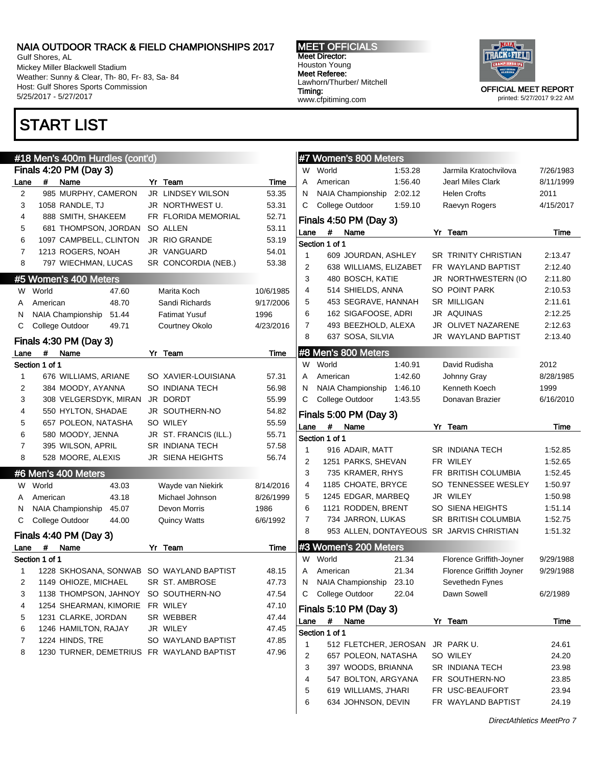Gulf Shores, AL Mickey Miller Blackwell Stadium Weather: Sunny & Clear, Th- 80, Fr- 83, Sa- 84 Host: Gulf Shores Sports Commission 5/25/2017 - 5/27/2017

MEET OFFICIALS Meet Director: Houston Young Meet Referee: Lawhorn/Thurber/ Mitchell Timing: www.cfpitiming.com



printed: 5/27/2017 9:22 AM

|                |                     | #18 Men's 400m Hurdles (cont'd)                     |       |                                           |             |                |                | #7 Women's 800 Meters  |         |                                           |           |
|----------------|---------------------|-----------------------------------------------------|-------|-------------------------------------------|-------------|----------------|----------------|------------------------|---------|-------------------------------------------|-----------|
|                |                     | Finals 4:20 PM (Day 3)                              |       |                                           |             | W              | World          |                        | 1:53.28 | Jarmila Kratochvilova                     | 7/26/1983 |
| Lane           | #                   | Name                                                |       | Yr Team                                   | Time        | Α              | American       |                        | 1:56.40 | <b>Jearl Miles Clark</b>                  | 8/11/1999 |
| 2              |                     | 985 MURPHY, CAMERON                                 |       | JR LINDSEY WILSON                         | 53.35       | N              |                | NAIA Championship      | 2:02.12 | <b>Helen Crofts</b>                       | 2011      |
| 3              |                     | 1058 RANDLE, TJ                                     |       | JR NORTHWEST U.                           | 53.31       | С              |                | College Outdoor        | 1:59.10 | Raevyn Rogers                             | 4/15/2017 |
| 4              |                     | 888 SMITH, SHAKEEM                                  |       | FR FLORIDA MEMORIAL                       | 52.71       |                |                | Finals 4:50 PM (Day 3) |         |                                           |           |
| 5              |                     | 681 THOMPSON, JORDAN SO ALLEN                       |       |                                           | 53.11       | Lane           | $\#$           | Name                   |         | Yr Team                                   | Time      |
| 6              |                     | 1097 CAMPBELL, CLINTON                              |       | JR RIO GRANDE                             | 53.19       |                | Section 1 of 1 |                        |         |                                           |           |
| 7              |                     | 1213 ROGERS, NOAH                                   |       | JR VANGUARD                               | 54.01       | $\mathbf{1}$   |                | 609 JOURDAN, ASHLEY    |         | <b>SR TRINITY CHRISTIAN</b>               | 2:13.47   |
| 8              |                     | 797 WIECHMAN, LUCAS                                 |       | SR CONCORDIA (NEB.)                       | 53.38       | 2              |                | 638 WILLIAMS, ELIZABET |         | FR WAYLAND BAPTIST                        | 2:12.40   |
|                |                     | #5 Women's 400 Meters                               |       |                                           |             | 3              |                | 480 BOSCH, KATIE       |         | JR NORTHWESTERN (IO                       | 2:11.80   |
| W              | World               |                                                     | 47.60 | Marita Koch                               | 10/6/1985   | 4              |                | 514 SHIELDS, ANNA      |         | SO POINT PARK                             | 2:10.53   |
| Α              | American            |                                                     | 48.70 | Sandi Richards                            | 9/17/2006   | 5              |                | 453 SEGRAVE, HANNAH    |         | <b>SR MILLIGAN</b>                        | 2:11.61   |
| N              |                     | NAIA Championship                                   | 51.44 | <b>Fatimat Yusuf</b>                      | 1996        | 6              |                | 162 SIGAFOOSE, ADRI    |         | JR AQUINAS                                | 2:12.25   |
| С              |                     | College Outdoor                                     | 49.71 | Courtney Okolo                            | 4/23/2016   | 7              |                | 493 BEEZHOLD, ALEXA    |         | JR OLIVET NAZARENE                        | 2:12.63   |
|                |                     |                                                     |       |                                           |             | 8              |                | 637 SOSA, SILVIA       |         | JR WAYLAND BAPTIST                        | 2:13.40   |
|                |                     | Finals 4:30 PM (Day 3)                              |       |                                           |             |                |                |                        |         |                                           |           |
| Lane           | #<br>Section 1 of 1 | Name                                                |       | Yr Team                                   | <b>Time</b> |                | W World        | #8 Men's 800 Meters    | 1:40.91 | David Rudisha                             | 2012      |
| 1              |                     |                                                     |       | SO XAVIER-LOUISIANA                       | 57.31       | A              | American       |                        | 1:42.60 |                                           | 8/28/1985 |
| 2              |                     | 676 WILLIAMS, ARIANE                                |       | SO INDIANA TECH                           | 56.98       |                |                | NAIA Championship      | 1:46.10 | Johnny Gray<br>Kenneth Koech              | 1999      |
|                |                     | 384 MOODY, AYANNA<br>308 VELGERSDYK, MIRAN JR DORDT |       |                                           |             | N              |                | College Outdoor        |         |                                           |           |
| 3              |                     | 550 HYLTON, SHADAE                                  |       |                                           | 55.99       | С              |                |                        | 1:43.55 | Donavan Brazier                           | 6/16/2010 |
| 4              |                     |                                                     |       | JR SOUTHERN-NO                            | 54.82       |                |                | Finals 5:00 PM (Day 3) |         |                                           |           |
| 5              |                     | 657 POLEON, NATASHA                                 |       | SO WILEY                                  | 55.59       | Lane           | #              | Name                   |         | Yr Team                                   | Time      |
| 6              |                     | 580 MOODY, JENNA                                    |       | JR ST. FRANCIS (ILL.)                     | 55.71       |                | Section 1 of 1 |                        |         |                                           |           |
| $\overline{7}$ |                     | 395 WILSON, APRIL                                   |       | <b>SR INDIANA TECH</b>                    | 57.58       | 1              |                | 916 ADAIR, MATT        |         | <b>SR INDIANA TECH</b>                    | 1:52.85   |
| 8              |                     | 528 MOORE, ALEXIS                                   |       | JR SIENA HEIGHTS                          | 56.74       | 2              |                | 1251 PARKS, SHEVAN     |         | FR WILEY                                  | 1:52.65   |
|                |                     | #6 Men's 400 Meters                                 |       |                                           |             | 3              |                | 735 KRAMER, RHYS       |         | FR BRITISH COLUMBIA                       | 1:52.45   |
| W.             | World               |                                                     | 43.03 | Wayde van Niekirk                         | 8/14/2016   | 4              |                | 1185 CHOATE, BRYCE     |         | SO TENNESSEE WESLEY                       | 1:50.97   |
| A              | American            |                                                     | 43.18 | Michael Johnson                           | 8/26/1999   | 5              |                | 1245 EDGAR, MARBEQ     |         | JR WILEY                                  | 1:50.98   |
| N              |                     | <b>NAIA Championship</b>                            | 45.07 | Devon Morris                              | 1986        | 6              |                | 1121 RODDEN, BRENT     |         | SO SIENA HEIGHTS                          | 1:51.14   |
| С              |                     | College Outdoor                                     | 44.00 | <b>Quincy Watts</b>                       | 6/6/1992    | $\overline{7}$ |                | 734 JARRON, LUKAS      |         | SR BRITISH COLUMBIA                       | 1:52.75   |
|                |                     | Finals 4:40 PM (Day 3)                              |       |                                           |             | 8              |                |                        |         | 953 ALLEN, DONTAYEOUS SR JARVIS CHRISTIAN | 1:51.32   |
| Lane           | #                   | Name                                                |       | Yr Team                                   | Time        |                |                | #3 Women's 200 Meters  |         |                                           |           |
|                | Section 1 of 1      |                                                     |       |                                           |             | W              | World          |                        | 21.34   | Florence Griffith-Joyner                  | 9/29/1988 |
| 1              |                     |                                                     |       | 1228 SKHOSANA, SONWAB SO WAYLAND BAPTIST  | 48.15       | A              | American       |                        | 21.34   | Florence Griffith Joyner                  | 9/29/1988 |
| 2              |                     | 1149 OHIOZE, MICHAEL                                |       | SR ST. AMBROSE                            | 47.73       | N              |                | NAIA Championship      | 23.10   | Sevethedn Fynes                           |           |
| 3              |                     | 1138 THOMPSON, JAHNOY                               |       | SO SOUTHERN-NO                            | 47.54       | С              |                | College Outdoor        | 22.04   | Dawn Sowell                               | 6/2/1989  |
| 4              |                     | 1254 SHEARMAN, KIMORIE FR WILEY                     |       |                                           | 47.10       |                |                | Finals 5:10 PM (Day 3) |         |                                           |           |
| 5              |                     | 1231 CLARKE, JORDAN                                 |       | SR WEBBER                                 | 47.44       |                | $\pmb{\#}$     |                        |         | Yr Team                                   |           |
| 6              |                     | 1246 HAMILTON, RAJAY                                |       | JR WILEY                                  | 47.45       | Lane           |                | Name                   |         |                                           | Time      |
| 7              |                     | 1224 HINDS, TRE                                     |       | SO WAYLAND BAPTIST                        | 47.85       |                | Section 1 of 1 |                        |         |                                           |           |
| 8              |                     |                                                     |       | 1230 TURNER, DEMETRIUS FR WAYLAND BAPTIST | 47.96       | 1              |                | 512 FLETCHER, JEROSAN  |         | JR PARK U.                                | 24.61     |
|                |                     |                                                     |       |                                           |             | 2              |                | 657 POLEON, NATASHA    |         | SO WILEY                                  | 24.20     |
|                |                     |                                                     |       |                                           |             | 3              |                | 397 WOODS, BRIANNA     |         | SR INDIANA TECH                           | 23.98     |
|                |                     |                                                     |       |                                           |             | 4              |                | 547 BOLTON, ARGYANA    |         | FR SOUTHERN-NO                            | 23.85     |
|                |                     |                                                     |       |                                           |             | 5              |                | 619 WILLIAMS, J'HARI   |         | FR USC-BEAUFORT                           | 23.94     |
|                |                     |                                                     |       |                                           |             | 6              |                | 634 JOHNSON, DEVIN     |         | FR WAYLAND BAPTIST                        | 24.19     |

## START LIST

DirectAthletics MeetPro 7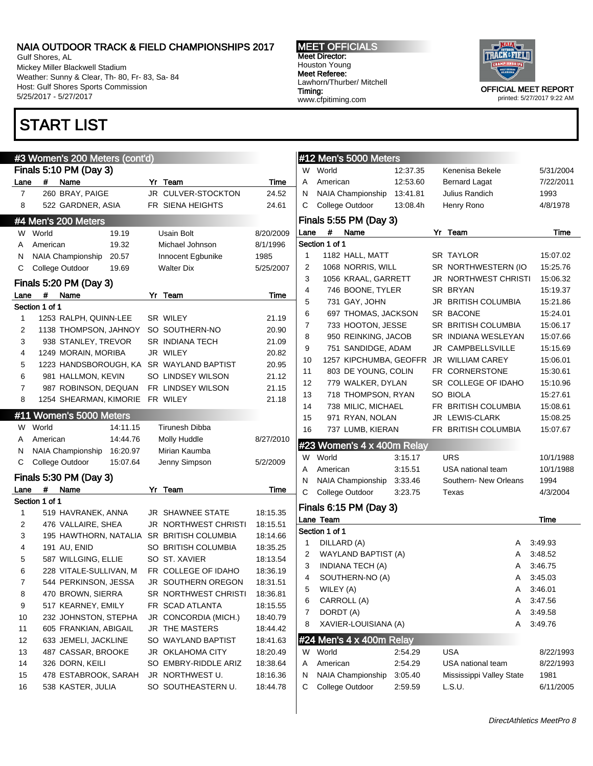Gulf Shores, AL Mickey Miller Blackwell Stadium Weather: Sunny & Clear, Th- 80, Fr- 83, Sa- 84 Host: Gulf Shores Sports Commission 5/25/2017 - 5/27/2017

# START LIST

## #3 Women's 200 Meters (cont'd)

|      | $\sim$ $\sim$ $\sim$<br>Finals 5:10 PM (Day 3) |                         |          |    |                                           |           |  |  |  |
|------|------------------------------------------------|-------------------------|----------|----|-------------------------------------------|-----------|--|--|--|
| Lane | #                                              | Name                    |          |    | Yr Team                                   | Time      |  |  |  |
| 7    |                                                | 260 BRAY, PAIGE         |          |    | JR CULVER-STOCKTON                        | 24.52     |  |  |  |
| 8    |                                                | 522 GARDNER, ASIA       |          |    | FR SIENA HEIGHTS                          | 24.61     |  |  |  |
|      |                                                | #4 Men's 200 Meters     |          |    |                                           |           |  |  |  |
| W    | World                                          |                         | 19.19    |    | Usain Bolt                                | 8/20/2009 |  |  |  |
| A    | American                                       |                         | 19.32    |    | Michael Johnson                           | 8/1/1996  |  |  |  |
| Ν    |                                                | NAIA Championship       | 20.57    |    | Innocent Egbunike                         | 1985      |  |  |  |
| С    |                                                | College Outdoor         | 19.69    |    | <b>Walter Dix</b>                         | 5/25/2007 |  |  |  |
|      |                                                | Finals 5:20 PM (Day 3)  |          |    |                                           |           |  |  |  |
| Lane | #                                              | Name                    |          | Yr | Team                                      | Time      |  |  |  |
|      | Section 1 of 1                                 |                         |          |    |                                           |           |  |  |  |
| 1    |                                                | 1253 RALPH, QUINN-LEE   |          |    | <b>SR WILEY</b>                           | 21.19     |  |  |  |
| 2    |                                                | 1138 THOMPSON, JAHNOY   |          |    | SO SOUTHERN-NO                            | 20.90     |  |  |  |
| 3    |                                                | 938 STANLEY, TREVOR     |          |    | <b>SR INDIANA TECH</b>                    | 21.09     |  |  |  |
| 4    |                                                | 1249 MORAIN, MORIBA     |          |    | JR WILEY                                  | 20.82     |  |  |  |
| 5    |                                                | 1223 HANDSBOROUGH, KA   |          |    | SR WAYLAND BAPTIST                        | 20.95     |  |  |  |
| 6    |                                                | 981 HALLMON, KEVIN      |          |    | SO LINDSEY WILSON                         | 21.12     |  |  |  |
| 7    |                                                | 987 ROBINSON, DEQUAN    |          |    | FR LINDSEY WILSON                         | 21.15     |  |  |  |
| 8    |                                                | 1254 SHEARMAN, KIMORIE  |          |    | FR WILEY                                  | 21.18     |  |  |  |
|      |                                                | #11 Women's 5000 Meters |          |    |                                           |           |  |  |  |
| W    | World                                          |                         | 14:11.15 |    | <b>Tirunesh Dibba</b>                     |           |  |  |  |
| A    | American                                       |                         | 14:44.76 |    | Molly Huddle                              | 8/27/2010 |  |  |  |
| Ν    |                                                | NAIA Championship       | 16:20.97 |    | Mirian Kaumba                             |           |  |  |  |
| С    |                                                | College Outdoor         | 15:07.64 |    | Jenny Simpson                             | 5/2/2009  |  |  |  |
|      |                                                | Finals 5:30 PM (Day 3)  |          |    |                                           |           |  |  |  |
| Lane | #                                              | Name                    |          | Yr | Team                                      | Time      |  |  |  |
|      | Section 1 of 1                                 |                         |          |    |                                           |           |  |  |  |
| 1    |                                                | 519 HAVRANEK, ANNA      |          |    | <b>JR SHAWNEE STATE</b>                   | 18:15.35  |  |  |  |
| 2    |                                                | 476 VALLAIRE, SHEA      |          |    | <b>JR NORTHWEST CHRISTI</b>               | 18:15.51  |  |  |  |
| 3    |                                                |                         |          |    | 195 HAWTHORN, NATALIA SR BRITISH COLUMBIA | 18:14.66  |  |  |  |
| 4    |                                                | 191 AU, ENID            |          |    | SO BRITISH COLUMBIA                       | 18:35.25  |  |  |  |
| 5    |                                                | 587 WILLGING, ELLIE     |          |    | SO ST. XAVIER                             | 18:13.54  |  |  |  |
| 6    |                                                | 228 VITALE-SULLIVAN, M  |          |    | FR COLLEGE OF IDAHO                       | 18:36.19  |  |  |  |
| 7    |                                                | 544 PERKINSON, JESSA    |          |    | JR SOUTHERN OREGON                        | 18:31.51  |  |  |  |
| 8    |                                                | 470 BROWN, SIERRA       |          |    | SR NORTHWEST CHRISTI                      | 18:36.81  |  |  |  |
| 9    |                                                | 517 KEARNEY, EMILY      |          |    | FR SCAD ATLANTA                           | 18:15.55  |  |  |  |
| 10   |                                                | 232 JOHNSTON, STEPHA    |          |    | JR CONCORDIA (MICH.)                      | 18:40.79  |  |  |  |
| 11   |                                                | 605 FRANKIAN, ABIGAIL   |          |    | <b>JR THE MASTERS</b>                     | 18:44.42  |  |  |  |
| 12   |                                                | 633 JEMELI, JACKLINE    |          |    | SO WAYLAND BAPTIST                        | 18:41.63  |  |  |  |
| 13   |                                                | 487 CASSAR, BROOKE      |          |    | JR OKLAHOMA CITY                          | 18:20.49  |  |  |  |
| 14   |                                                | 326 DORN, KEILI         |          |    | SO EMBRY-RIDDLE ARIZ                      | 18:38.64  |  |  |  |
| 15   |                                                | 478 ESTABROOK, SARAH    |          |    | JR NORTHWEST U.                           | 18:16.36  |  |  |  |
| 16   |                                                | 538 KASTER, JULIA       |          |    | SO SOUTHEASTERN U.                        | 18:44.78  |  |  |  |

MEET OFFICIALS Meet Director: Houston Young Meet Referee: Lawhorn/Thurber/ Mitchell Timing: www.cfpitiming.com



|      | #12 Men's 5000 Meters            |          |    |                             |   |           |
|------|----------------------------------|----------|----|-----------------------------|---|-----------|
| W    | World                            | 12:37.35 |    | Kenenisa Bekele             |   | 5/31/2004 |
| A    | American                         | 12:53.60 |    | <b>Bernard Lagat</b>        |   | 7/22/2011 |
| Ν    | NAIA Championship                | 13:41.81 |    | Julius Randich              |   | 1993      |
| C    | College Outdoor                  | 13:08.4h |    | Henry Rono                  |   | 4/8/1978  |
|      | Finals 5:55 PM (Day 3)           |          |    |                             |   |           |
| Lane | Name<br>#                        |          | Yr | Team                        |   | Time      |
|      | Section 1 of 1                   |          |    |                             |   |           |
| 1    | 1182 HALL, MATT                  |          |    | SR TAYLOR                   |   | 15:07.02  |
| 2    | 1068 NORRIS, WILL                |          |    | SR NORTHWESTERN (IO         |   | 15:25.76  |
| 3    | 1056 KRAAL, GARRETT              |          |    | <b>JR NORTHWEST CHRISTI</b> |   | 15:06.32  |
| 4    | 746 BOONE, TYLER                 |          |    | SR BRYAN                    |   | 15:19.37  |
| 5    | 731 GAY, JOHN                    |          |    | JR BRITISH COLUMBIA         |   | 15:21.86  |
| 6    | 697 THOMAS, JACKSON              |          |    | <b>SR BACONE</b>            |   | 15:24.01  |
| 7    | 733 HOOTON, JESSE                |          |    | SR BRITISH COLUMBIA         |   | 15:06.17  |
| 8    | 950 REINKING, JACOB              |          |    | SR INDIANA WESLEYAN         |   | 15:07.66  |
| 9    | 751 SANDIDGE, ADAM               |          |    | JR CAMPBELLSVILLE           |   | 15:15.69  |
| 10   | 1257 KIPCHUMBA, GEOFFR           |          |    | JR WILLIAM CAREY            |   | 15:06.01  |
| 11   | 803 DE YOUNG, COLIN              |          |    | FR CORNERSTONE              |   | 15:30.61  |
| 12   | 779 WALKER, DYLAN                |          |    | SR COLLEGE OF IDAHO         |   | 15:10.96  |
| 13   | 718 THOMPSON, RYAN               |          |    | SO BIOLA                    |   | 15:27.61  |
| 14   | 738 MILIC, MICHAEL               |          |    | FR BRITISH COLUMBIA         |   | 15:08.61  |
| 15   | 971 RYAN, NOLAN                  |          |    | JR LEWIS-CLARK              |   | 15:08.25  |
| 16   | 737 LUMB, KIERAN                 |          |    | FR BRITISH COLUMBIA         |   | 15:07.67  |
|      | #23 Women's 4 x 400m Relay       |          |    |                             |   |           |
| W    | World                            | 3:15.17  |    | URS                         |   | 10/1/1988 |
| A    | American                         | 3:15.51  |    | USA national team           |   | 10/1/1988 |
| Ν    | NAIA Championship                | 3:33.46  |    | Southern- New Orleans       |   | 1994      |
| С    | College Outdoor                  | 3:23.75  |    | Texas                       |   | 4/3/2004  |
|      | Finals 6:15 PM (Day 3)           |          |    |                             |   |           |
|      | Lane Team                        |          |    |                             |   | Time      |
|      | Section 1 of 1                   |          |    |                             |   |           |
| 1    | DILLARD (A)                      |          |    |                             | A | 3:49.93   |
| 2    | <b>WAYLAND BAPTIST (A)</b>       |          |    |                             | A | 3:48.52   |
| 3    | <b>INDIANA TECH (A)</b>          |          |    |                             | A | 3:46.75   |
| 4    | SOUTHERN-NO (A)                  |          |    |                             | A | 3:45.03   |
| 5    | WILEY (A)                        |          |    |                             | A | 3:46.01   |
| 6    | CARROLL (A)                      |          |    |                             | A | 3:47.56   |
| 7    | DORDT (A)                        |          |    |                             | A | 3:49.58   |
| 8    | XAVIER-LOUISIANA (A)             |          |    |                             | A | 3:49.76   |
|      | #24 Men's $4 \times 400$ m Relay |          |    |                             |   |           |
| W    | World                            | 2:54.29  |    | USA                         |   | 8/22/1993 |
| A    | American                         | 2:54.29  |    | USA national team           |   | 8/22/1993 |
| N    | NAIA Championship                | 3:05.40  |    | Mississippi Valley State    |   | 1981      |
| С    | College Outdoor                  | 2:59.59  |    | L.S.U.                      |   | 6/11/2005 |